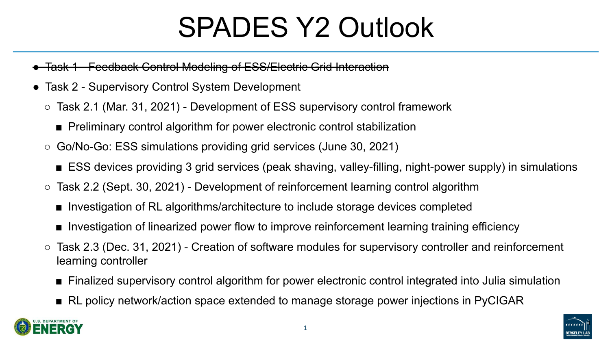# SPADES Y2 Outlook

### - Feedback Control Modeling of ESS/Electric Grid Interaction

- Task 2 Supervisory Control System Development
	- Task 2.1 (Mar. 31, 2021) Development of ESS supervisory control framework
		- Preliminary control algorithm for power electronic control stabilization
	- Go/No-Go: ESS simulations providing grid services (June 30, 2021) ■ ESS devices providing 3 grid services (peak shaving, valley-filling, night-power supply) in simulations
	- $\circ$  Task 2.2 (Sept. 30, 2021) Development of reinforcement learning control algorithm
		- Investigation of RL algorithms/architecture to include storage devices completed
		- Investigation of linearized power flow to improve reinforcement learning training efficiency
	- $\circ$  Task 2.3 (Dec. 31, 2021) Creation of software modules for supervisory controller and reinforcement learning controller
		- Finalized supervisory control algorithm for power electronic control integrated into Julia simulation ■ RL policy network/action space extended to manage storage power injections in PyCIGAR
		-





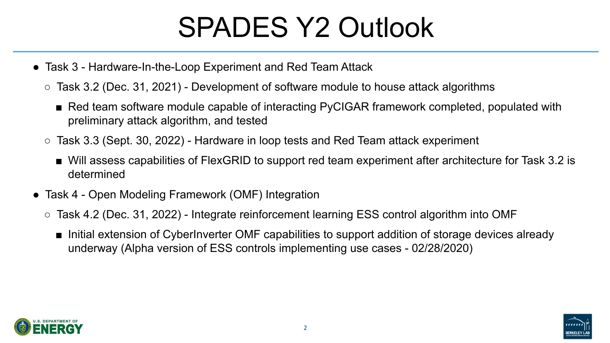# SPADES Y2 Outlook



- Task 3 Hardware-In-the-Loop Experiment and Red Team Attack
	- $\circ$  Task 3.2 (Dec. 31, 2021) Development of software module to house attack algorithms
		- Red team software module capable of interacting PyCIGAR framework completed, populated with preliminary attack algorithm, and tested
	- $\circ$  Task 3.3 (Sept. 30, 2022) Hardware in loop tests and Red Team attack experiment
		- Will assess capabilities of FlexGRID to support red team experiment after architecture for Task 3.2 is determined
- Task 4 Open Modeling Framework (OMF) Integration
	- Task 4.2 (Dec. 31, 2022) Integrate reinforcement learning ESS control algorithm into OMF
		- Initial extension of CyberInverter OMF capabilities to support addition of storage devices already underway (Alpha version of ESS controls implementing use cases - 02/28/2020)



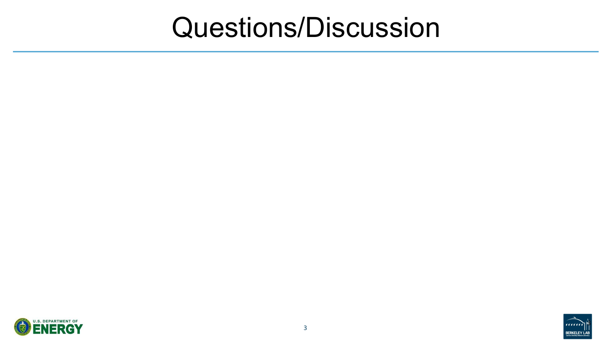### Questions/Discussion